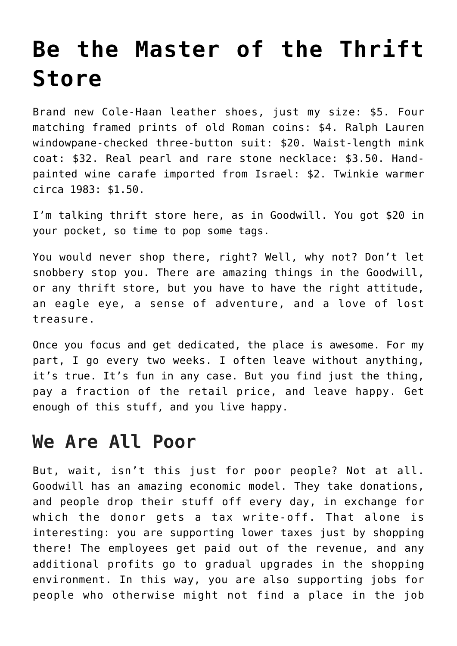## **[Be the Master of the Thrift](https://intellectualtakeout.org/2017/01/be-the-master-of-the-thrift-store/) [Store](https://intellectualtakeout.org/2017/01/be-the-master-of-the-thrift-store/)**

Brand new Cole-Haan leather shoes, just my size: \$5. Four matching framed prints of old Roman coins: \$4. Ralph Lauren windowpane-checked three-button suit: \$20. Waist-length mink coat: \$32. Real pearl and rare stone necklace: \$3.50. Handpainted wine carafe imported from Israel: \$2. Twinkie warmer circa 1983: \$1.50.

I'm talking thrift store here, as in Goodwill. You got \$20 in your pocket, so time to pop some tags.

You would never shop there, right? Well, why not? Don't let snobbery stop you. There are amazing things in the Goodwill, or any thrift store, but you have to have the right attitude, an eagle eye, a sense of adventure, and a love of lost treasure.

Once you focus and get dedicated, the place is awesome. For my part, I go every two weeks. I often leave without anything, it's true. It's fun in any case. But you find just the thing, pay a fraction of the retail price, and leave happy. Get enough of this stuff, and you live happy.

## **We Are All Poor**

But, wait, isn't this just for poor people? Not at all. Goodwill has an amazing economic model. They take donations, and people drop their stuff off every day, in exchange for which the donor gets a tax write-off. That alone is interesting: you are supporting lower taxes just by shopping there! The employees get paid out of the revenue, and any additional profits go to gradual upgrades in the shopping environment. In this way, you are also supporting jobs for people who otherwise might not find a place in the job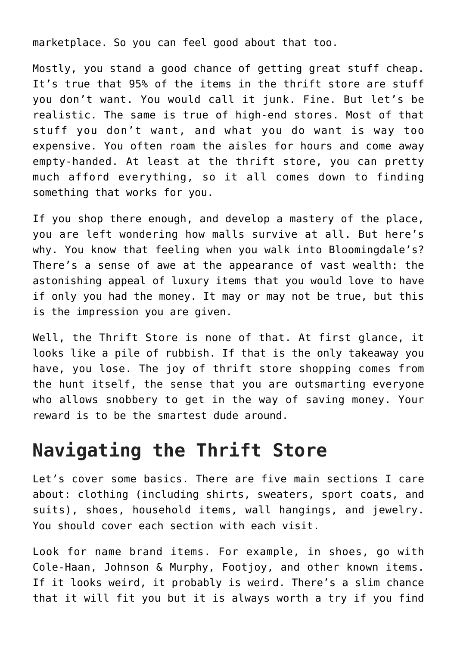marketplace. So you can feel good about that too.

Mostly, you stand a good chance of getting great stuff cheap. It's true that 95% of the items in the thrift store are stuff you don't want. You would call it junk. Fine. But let's be realistic. The same is true of high-end stores. Most of that stuff you don't want, and what you do want is way too expensive. You often roam the aisles for hours and come away empty-handed. At least at the thrift store, you can pretty much afford everything, so it all comes down to finding something that works for you.

If you shop there enough, and develop a mastery of the place, you are left wondering how malls survive at all. But here's why. You know that feeling when you walk into Bloomingdale's? There's a sense of awe at the appearance of vast wealth: the astonishing appeal of luxury items that you would love to have if only you had the money. It may or may not be true, but this is the impression you are given.

Well, the Thrift Store is none of that. At first glance, it looks like a pile of rubbish. If that is the only takeaway you have, you lose. The joy of thrift store shopping comes from the hunt itself, the sense that you are outsmarting everyone who allows snobbery to get in the way of saving money. Your reward is to be the smartest dude around.

## **Navigating the Thrift Store**

Let's cover some basics. There are five main sections I care about: clothing (including shirts, sweaters, sport coats, and suits), shoes, household items, wall hangings, and jewelry. You should cover each section with each visit.

Look for name brand items. For example, in shoes, go with Cole-Haan, Johnson & Murphy, Footjoy, and other known items. If it looks weird, it probably is weird. There's a slim chance that it will fit you but it is always worth a try if you find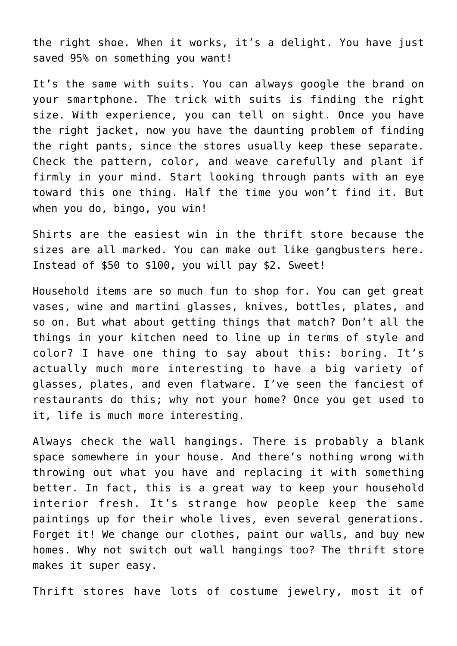the right shoe. When it works, it's a delight. You have just saved 95% on something you want!

It's the same with suits. You can always google the brand on your smartphone. The trick with suits is finding the right size. With experience, you can tell on sight. Once you have the right jacket, now you have the daunting problem of finding the right pants, since the stores usually keep these separate. Check the pattern, color, and weave carefully and plant if firmly in your mind. Start looking through pants with an eye toward this one thing. Half the time you won't find it. But when you do, bingo, you win!

Shirts are the easiest win in the thrift store because the sizes are all marked. You can make out like gangbusters here. Instead of \$50 to \$100, you will pay \$2. Sweet!

Household items are so much fun to shop for. You can get great vases, wine and martini glasses, knives, bottles, plates, and so on. But what about getting things that match? Don't all the things in your kitchen need to line up in terms of style and color? I have one thing to say about this: boring. It's actually much more interesting to have a big variety of glasses, plates, and even flatware. I've seen the fanciest of restaurants do this; why not your home? Once you get used to it, life is much more interesting.

Always check the wall hangings. There is probably a blank space somewhere in your house. And there's nothing wrong with throwing out what you have and replacing it with something better. In fact, this is a great way to keep your household interior fresh. It's strange how people keep the same paintings up for their whole lives, even several generations. Forget it! We change our clothes, paint our walls, and buy new homes. Why not switch out wall hangings too? The thrift store makes it super easy.

Thrift stores have lots of costume jewelry, most it of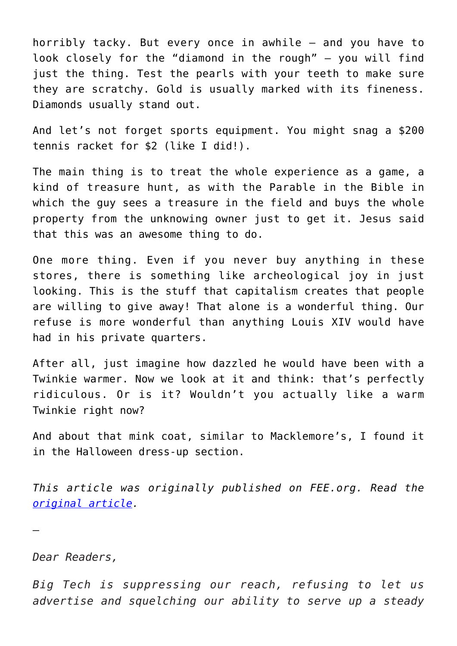horribly tacky. But every once in awhile – and you have to look closely for the "diamond in the rough" – you will find just the thing. Test the pearls with your teeth to make sure they are scratchy. Gold is usually marked with its fineness. Diamonds usually stand out.

And let's not forget sports equipment. You might snag a \$200 tennis racket for \$2 (like I did!).

The main thing is to treat the whole experience as a game, a kind of treasure hunt, as with the Parable in the Bible in which the guy sees a treasure in the field and buys the whole property from the unknowing owner just to get it. Jesus said that this was an awesome thing to do.

One more thing. Even if you never buy anything in these stores, there is something like archeological joy in just looking. This is the stuff that capitalism creates that people are willing to give away! That alone is a wonderful thing. Our refuse is more wonderful than anything Louis XIV would have had in his private quarters.

After all, just imagine how dazzled he would have been with a Twinkie warmer. Now we look at it and think: that's perfectly ridiculous. Or is it? Wouldn't you actually like a warm Twinkie right now?

And about that mink coat, similar to Macklemore's, I found it in the Halloween dress-up section.

*This article was originally published on FEE.org. Read the [original article.](https://fee.org/articles/be-the-master-of-the-thrift-store/)*

—

*Dear Readers,*

*Big Tech is suppressing our reach, refusing to let us advertise and squelching our ability to serve up a steady*